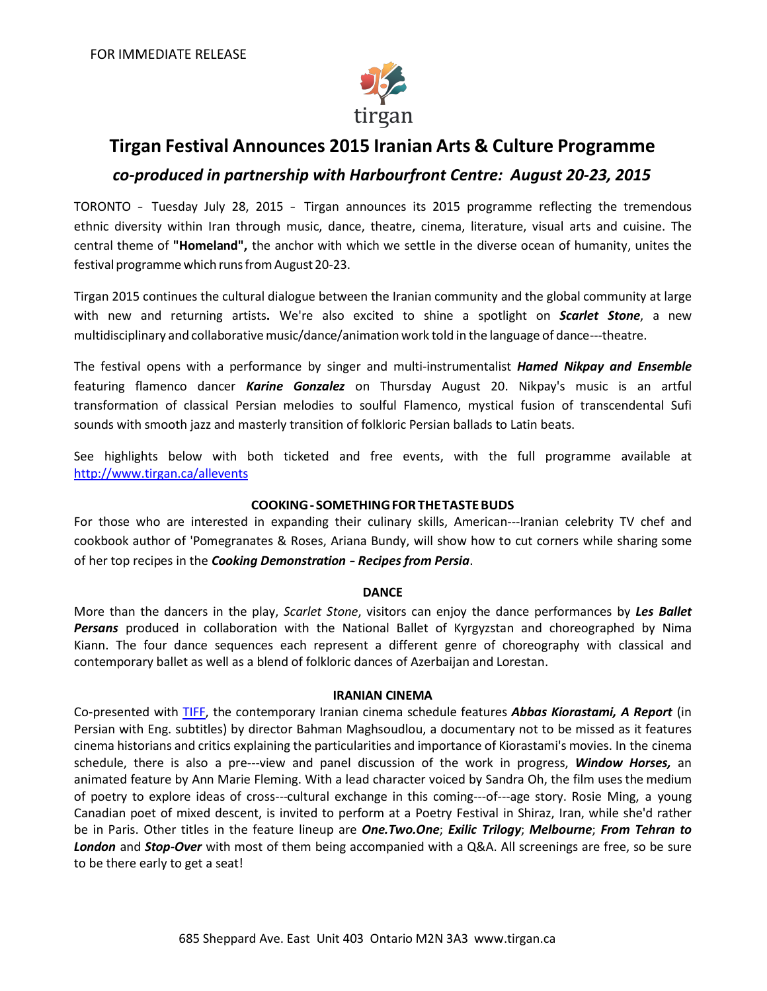

# **Tirgan Festival Announces 2015 Iranian Arts & Culture Programme** *co-produced in partnership with Harbourfront Centre: August 20-23, 2015*

TORONTO - Tuesday July 28, 2015 - Tirgan announces its 2015 programme reflecting the tremendous ethnic diversity within Iran through music, dance, theatre, cinema, literature, visual arts and cuisine. The central theme of **"Homeland",** the anchor with which we settle in the diverse ocean of humanity, unites the festival programme which runs from August 20-23.

Tirgan 2015 continues the cultural dialogue between the Iranian community and the global community at large with new and returning artists**.** We're also excited to shine a spotlight on *Scarlet Stone*, a new multidisciplinary and collaborative music/dance/animation work told in the language of dance---theatre.

The festival opens with a performance by singer and multi‐instrumentalist *Hamed Nikpay and Ensemble*  featuring flamenco dancer *Karine Gonzalez* on Thursday August 20. Nikpay's music is an artful transformation of classical Persian melodies to soulful Flamenco, mystical fusion of transcendental Sufi sounds with smooth jazz and masterly transition of folkloric Persian ballads to Latin beats.

See highlights below with both ticketed and free events, with the full programme available at <http://www.tirgan.ca/allevents>

## **COOKING- SOMETHINGFORTHETASTEBUDS**

For those who are interested in expanding their culinary skills, American---Iranian celebrity TV chef and cookbook author of 'Pomegranates & Roses, Ariana Bundy, will show how to cut corners while sharing some of her top recipes in the *Cooking Demonstration - Recipes from Persia*.

## **DANCE**

More than the dancers in the play, *Scarlet Stone*, visitors can enjoy the dance performances by *Les Ballet Persans* produced in collaboration with the National Ballet of Kyrgyzstan and choreographed by Nima Kiann. The four dance sequences each represent a different genre of choreography with classical and contemporary ballet as well as a blend of folkloric dances of Azerbaijan and Lorestan.

## **IRANIAN CINEMA**

Co-presented with [TIFF,](http://www.tiff.net/) the contemporary Iranian cinema schedule features *Abbas Kiorastami, A Report* (in Persian with Eng. subtitles) by director Bahman Maghsoudlou, a documentary not to be missed as it features cinema historians and critics explaining the particularities and importance of Kiorastami's movies. In the cinema schedule, there is also a pre---view and panel discussion of the work in progress, **Window Horses**, an animated feature by Ann Marie Fleming. With a lead character voiced by Sandra Oh, the film usesthe medium of poetry to explore ideas of cross--‐cultural exchange in this coming--‐of--‐age story. Rosie Ming, a young Canadian poet of mixed descent, is invited to perform at a Poetry Festival in Shiraz, Iran, while she'd rather be in Paris. Other titles in the feature lineup are *One.Two.One*; *Exilic Trilogy*; *Melbourne*; *From Tehran to London* and *Stop-Over* with most of them being accompanied with a Q&A. All screenings are free, so be sure to be there early to get a seat!